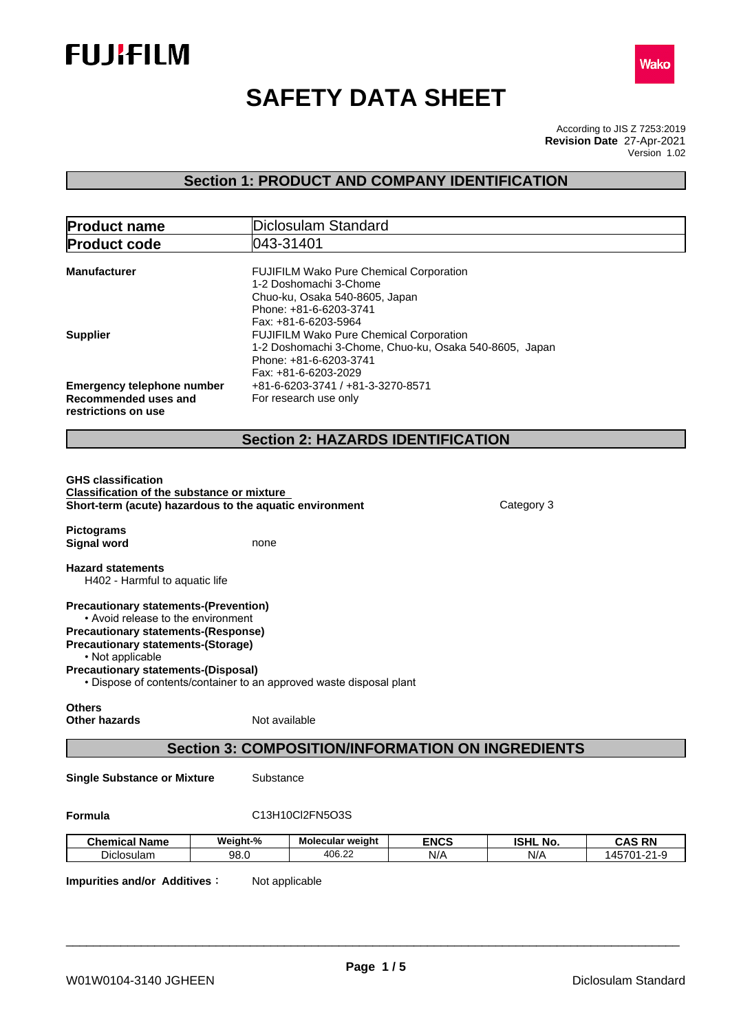



# **SAFETY DATA SHEET**

According to JIS Z 7253:2019 Version 1.02 **Revision Date** 27-Apr-2021

# **Section 1: PRODUCT AND COMPANY IDENTIFICATION**

| <b>Product name</b>                                                                                                                                                                                                                                                                                                                                      |                  | Diclosulam Standard                                                                                                                                   |                    |                        |                              |  |  |  |  |
|----------------------------------------------------------------------------------------------------------------------------------------------------------------------------------------------------------------------------------------------------------------------------------------------------------------------------------------------------------|------------------|-------------------------------------------------------------------------------------------------------------------------------------------------------|--------------------|------------------------|------------------------------|--|--|--|--|
| <b>Product code</b>                                                                                                                                                                                                                                                                                                                                      | 043-31401        |                                                                                                                                                       |                    |                        |                              |  |  |  |  |
| <b>Manufacturer</b>                                                                                                                                                                                                                                                                                                                                      |                  | FUJIFILM Wako Pure Chemical Corporation<br>1-2 Doshomachi 3-Chome<br>Chuo-ku, Osaka 540-8605, Japan<br>Phone: +81-6-6203-3741<br>Fax: +81-6-6203-5964 |                    |                        |                              |  |  |  |  |
| <b>Supplier</b>                                                                                                                                                                                                                                                                                                                                          |                  | FUJIFILM Wako Pure Chemical Corporation<br>1-2 Doshomachi 3-Chome, Chuo-ku, Osaka 540-8605, Japan<br>Phone: +81-6-6203-3741<br>Fax: +81-6-6203-2029   |                    |                        |                              |  |  |  |  |
| <b>Emergency telephone number</b><br>Recommended uses and<br>restrictions on use                                                                                                                                                                                                                                                                         |                  | +81-6-6203-3741 / +81-3-3270-8571<br>For research use only                                                                                            |                    |                        |                              |  |  |  |  |
|                                                                                                                                                                                                                                                                                                                                                          |                  | <b>Section 2: HAZARDS IDENTIFICATION</b>                                                                                                              |                    |                        |                              |  |  |  |  |
| <b>GHS classification</b><br><b>Classification of the substance or mixture</b><br>Short-term (acute) hazardous to the aquatic environment<br><b>Pictograms</b>                                                                                                                                                                                           |                  |                                                                                                                                                       |                    | Category 3             |                              |  |  |  |  |
| <b>Signal word</b><br><b>Hazard statements</b>                                                                                                                                                                                                                                                                                                           | none             |                                                                                                                                                       |                    |                        |                              |  |  |  |  |
| H402 - Harmful to aquatic life<br><b>Precautionary statements-(Prevention)</b><br>• Avoid release to the environment<br><b>Precautionary statements-(Response)</b><br><b>Precautionary statements-(Storage)</b><br>• Not applicable<br><b>Precautionary statements-(Disposal)</b><br>• Dispose of contents/container to an approved waste disposal plant |                  |                                                                                                                                                       |                    |                        |                              |  |  |  |  |
| <b>Others</b><br><b>Other hazards</b>                                                                                                                                                                                                                                                                                                                    | Not available    |                                                                                                                                                       |                    |                        |                              |  |  |  |  |
|                                                                                                                                                                                                                                                                                                                                                          |                  | <b>Section 3: COMPOSITION/INFORMATION ON INGREDIENTS</b>                                                                                              |                    |                        |                              |  |  |  |  |
| <b>Single Substance or Mixture</b>                                                                                                                                                                                                                                                                                                                       | Substance        |                                                                                                                                                       |                    |                        |                              |  |  |  |  |
| Formula                                                                                                                                                                                                                                                                                                                                                  |                  | C13H10Cl2FN5O3S                                                                                                                                       |                    |                        |                              |  |  |  |  |
|                                                                                                                                                                                                                                                                                                                                                          |                  |                                                                                                                                                       |                    |                        |                              |  |  |  |  |
| <b>Chemical Name</b><br>Diclosulam                                                                                                                                                                                                                                                                                                                       | Weight-%<br>98.0 | Molecular weight<br>406.22                                                                                                                            | <b>ENCS</b><br>N/A | <b>ISHL No.</b><br>N/A | <b>CAS RN</b><br>145701-21-9 |  |  |  |  |

**Impurities and/or Additives:** Not applicable

**Page 1 / 5**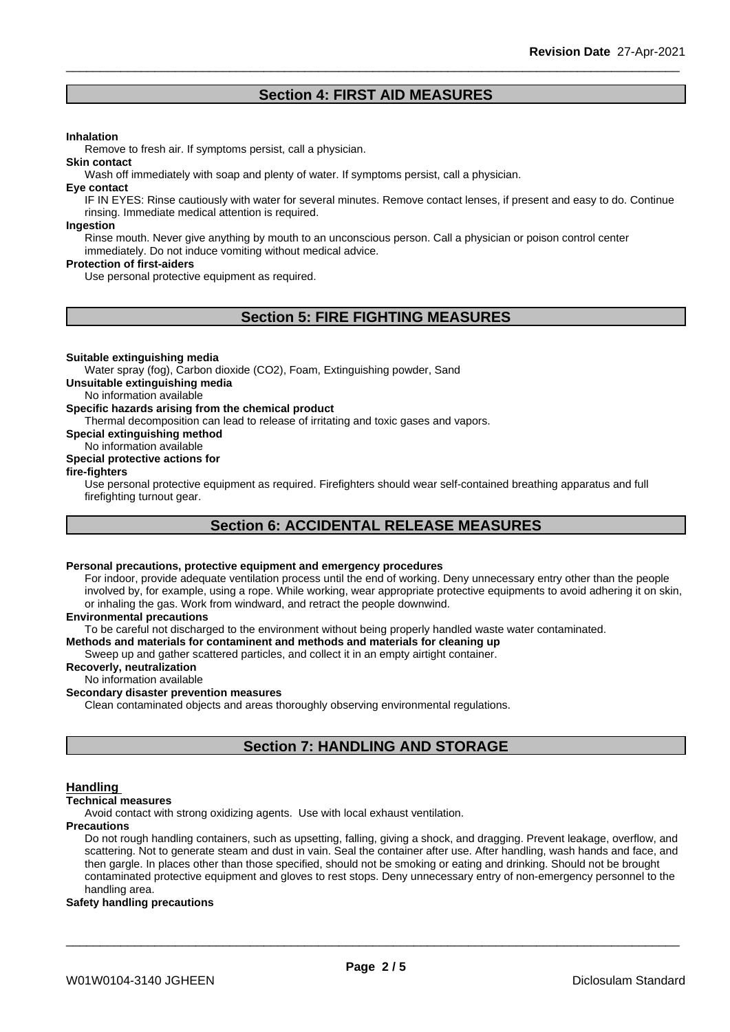# **Section 4: FIRST AID MEASURES**

#### **Inhalation**

Remove to fresh air. If symptoms persist, call a physician.

Wash off immediately with soap and plenty of water. If symptoms persist, call a physician.

#### **Eye contact**

**Skin contact**

IF IN EYES: Rinse cautiously with water for several minutes. Remove contact lenses, if present and easy to do. Continue rinsing. Immediate medical attention is required.

#### **Ingestion**

Rinse mouth. Never give anything by mouth to an unconscious person. Call a physician or poison control center immediately. Do not induce vomiting without medical advice.

#### **Protection of first-aiders**

Use personal protective equipment as required.

# **Section 5: FIRE FIGHTING MEASURES**

#### **Suitable extinguishing media**

Water spray (fog), Carbon dioxide (CO2), Foam, Extinguishing powder, Sand

**Unsuitable extinguishing media**

No information available

#### **Specific hazards arising from the chemical product**

Thermal decomposition can lead to release of irritating and toxic gases and vapors.

**Special extinguishing method**

#### No information available

#### **Special protective actions for**

#### **fire-fighters**

Use personal protective equipment as required.Firefighters should wear self-contained breathing apparatus and full firefighting turnout gear.

# **Section 6: ACCIDENTAL RELEASE MEASURES**

#### **Personal precautions, protective equipment and emergency procedures**

For indoor, provide adequate ventilation process until the end of working. Deny unnecessary entry other than the people involved by, for example, using a rope. While working, wear appropriate protective equipments to avoid adhering it on skin, or inhaling the gas. Work from windward, and retract the people downwind.

#### **Environmental precautions**

To be careful not discharged to the environment without being properly handled waste water contaminated.

#### **Methods and materials for contaminent and methods and materials for cleaning up**

Sweep up and gather scattered particles, and collect it in an empty airtight container.

### **Recoverly, neutralization**

#### No information available

#### **Secondary disaster prevention measures**

Clean contaminated objects and areas thoroughly observing environmental regulations.

# **Section 7: HANDLING AND STORAGE**

#### **Handling**

#### **Technical measures**

Avoid contact with strong oxidizing agents. Use with local exhaust ventilation.

#### **Precautions**

Do not rough handling containers, such as upsetting, falling, giving a shock, and dragging. Prevent leakage, overflow, and scattering. Not to generate steam and dust in vain. Seal the container after use. After handling, wash hands and face, and then gargle. In places other than those specified, should not be smoking or eating and drinking. Should not be brought contaminated protective equipment and gloves to rest stops. Deny unnecessary entry of non-emergency personnel to the handling area.

#### **Safety handling precautions**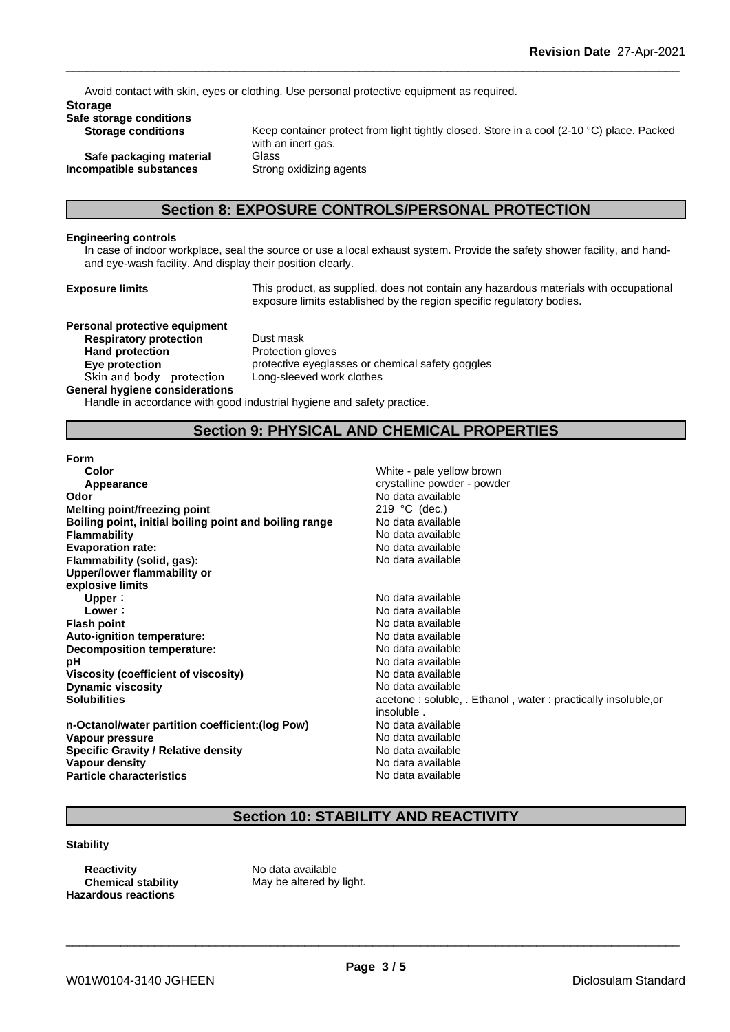Avoid contact with skin, eyes or clothing. Use personal protective equipment as required.

#### **Storage**

# **Safe storage conditions**

**Safe packaging material** Glass **Incompatible substances** Strong oxidizing agents

Keep container protect from light tightly closed. Store in a cool (2-10 °C) place. Packed with an inert gas.

# **Section 8: EXPOSURE CONTROLS/PERSONAL PROTECTION**

#### **Engineering controls**

In case of indoor workplace, seal the source or use a local exhaust system. Provide the safety shower facility, and handand eye-wash facility. And display their position clearly.

**Exposure limits** This product, as supplied, does not contain any hazardous materials with occupational exposure limits established by the region specific regulatory bodies.

**Personal protective equipment Respiratory protection** Dust mask **Hand protection** Protection gloves **Skinandbody protection** Long-sleeved work clothes

**Eye protection protective eyeglasses or chemical safety goggles** 

#### **General hygiene considerations**

Handle in accordance with good industrial hygiene and safety practice.

# **Section 9: PHYSICAL AND CHEMICAL PROPERTIES**

#### **Form**

| Color                                                  | White - pale yellow brown                                     |
|--------------------------------------------------------|---------------------------------------------------------------|
| Appearance                                             | crystalline powder - powder                                   |
| Odor                                                   | No data available                                             |
| Melting point/freezing point                           | 219 $°C$ (dec.)                                               |
| Boiling point, initial boiling point and boiling range | No data available                                             |
| <b>Flammability</b>                                    | No data available                                             |
| <b>Evaporation rate:</b>                               | No data available                                             |
| Flammability (solid, gas):                             | No data available                                             |
| Upper/lower flammability or                            |                                                               |
| explosive limits                                       |                                                               |
| Upper:                                                 | No data available                                             |
| Lower:                                                 | No data available                                             |
| <b>Flash point</b>                                     | No data available                                             |
| Auto-ignition temperature:                             | No data available                                             |
| Decomposition temperature:                             | No data available                                             |
| рH                                                     | No data available                                             |
| Viscosity (coefficient of viscosity)                   | No data available                                             |
| <b>Dynamic viscosity</b>                               | No data available                                             |
| <b>Solubilities</b>                                    | acetone: soluble, . Ethanol, water: practically insoluble, or |
|                                                        | insoluble.                                                    |
| n-Octanol/water partition coefficient: (log Pow)       | No data available                                             |
| Vapour pressure                                        | No data available                                             |
| <b>Specific Gravity / Relative density</b>             | No data available                                             |
| Vapour density                                         | No data available                                             |
| <b>Particle characteristics</b>                        | No data available                                             |

# **Section 10: STABILITY AND REACTIVITY**

#### **Stability**

**Reactivity** No data available **Hazardous reactions**

**Chemical stability** May be altered by light.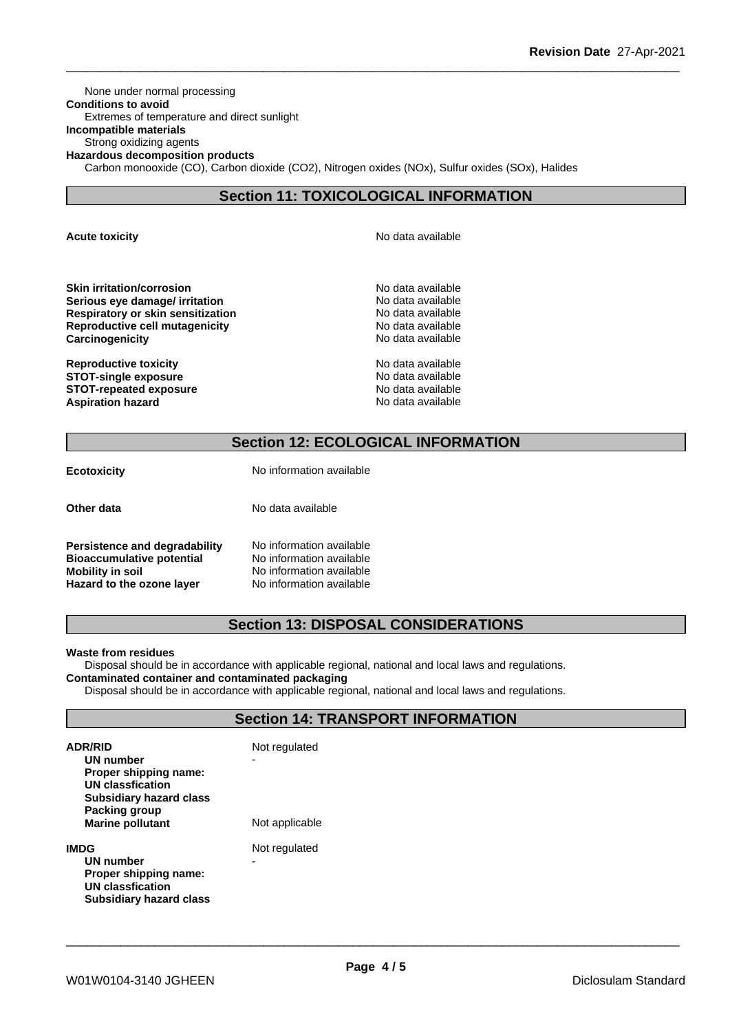None under normal processing **Conditions to avoid** Extremes of temperature and direct sunlight **Incompatible materials** Strong oxidizing agents **Hazardous decomposition products** Carbon monooxide (CO), Carbon dioxide (CO2), Nitrogen oxides (NOx), Sulfur oxides (SOx), Halides

# **Section 11: TOXICOLOGICAL INFORMATION**

**Acute toxicity Acute toxicity Acute has a structure in the structure of**  $\mathbb{R}^n$  **No data available** 

**Skin irritation/corrosion**<br> **Serious eve damage/ irritation**<br> **Serious eve damage/ irritation Serious eye damage/ irritation Respiratory or skin sensitization** No data available **Reproductive cell mutagenicity**<br> **Carcinogenicity**<br> **Carcinogenicity**<br> **Carcinogenicity Carcinogenicity** 

**Reproductive toxicity No data available** No data available **STOT-single exposure** No data available **STOT-repeated exposure** No data available **Aspiration hazard No data available No data available No data available** 

# **Section 12: ECOLOGICAL INFORMATION**

| <b>Ecotoxicity</b>            | No information available |
|-------------------------------|--------------------------|
| Other data                    | No data available        |
| Persistence and degradability | No information available |

**Bioaccumulative potential** No information available<br>**Mobility in soil** No information available **Hazard to the ozone layer** No information available

**Mobility in soil** No information available

# **Section 13: DISPOSAL CONSIDERATIONS**

#### **Waste from residues**

Disposal should be in accordance with applicable regional, national and local laws and regulations. **Contaminated container and contaminated packaging**

Disposal should be in accordance with applicable regional, national and local laws and regulations.

### **Section 14: TRANSPORT INFORMATION**

| <b>ADR/RID</b><br>UN number<br>Proper shipping name:<br>UN classfication<br><b>Subsidiary hazard class</b><br>Packing group<br><b>Marine pollutant</b> | Not regulated<br>Not applicable |
|--------------------------------------------------------------------------------------------------------------------------------------------------------|---------------------------------|
| IMDG<br>UN number<br>Proper shipping name:<br>UN classfication<br>Subsidiary hazard class                                                              | Not regulated<br>-              |